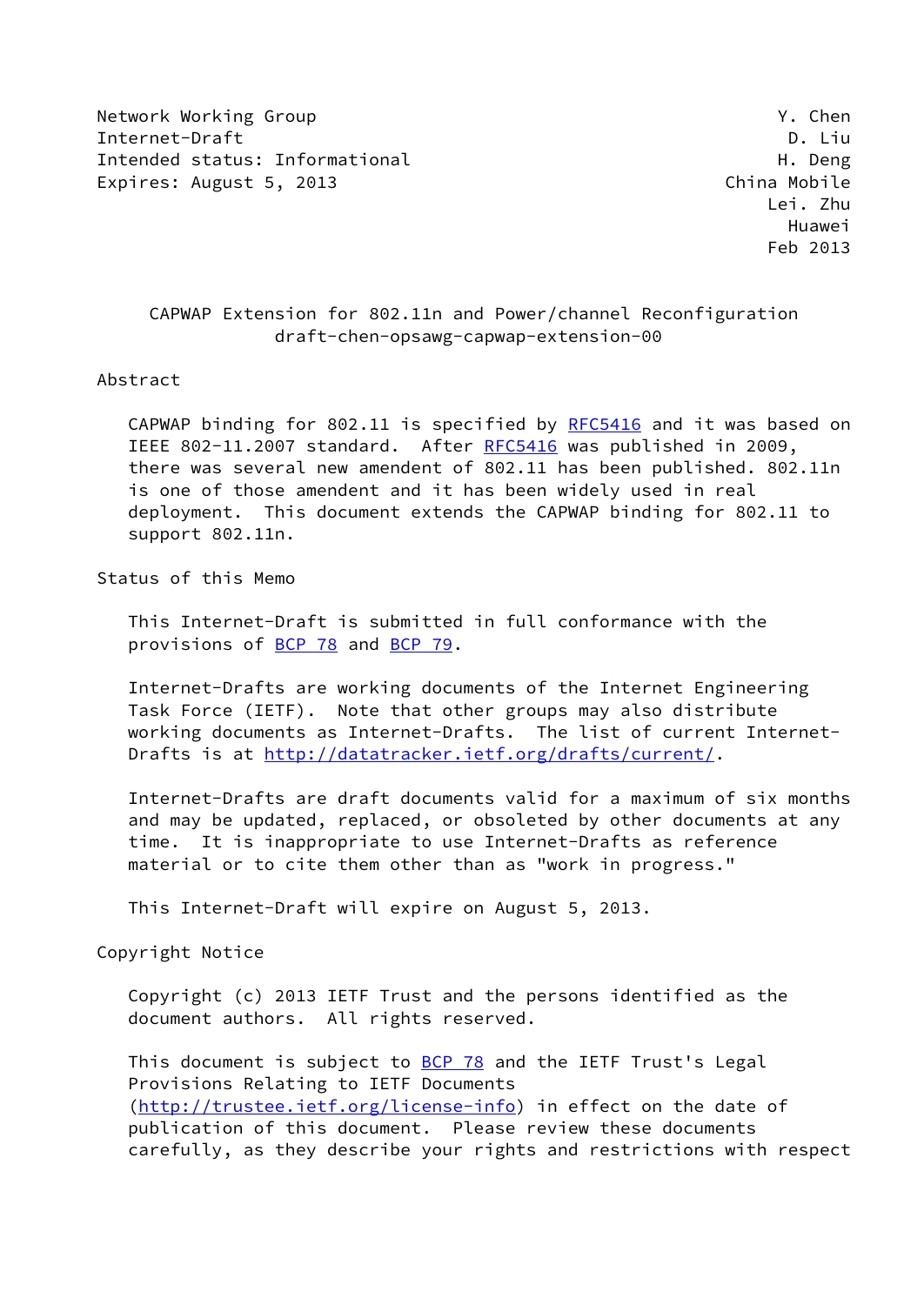Network Working Group **Y. Chen** Internet-Draft D. Liu Intended status: Informational example of the status of the Deng Expires: August 5, 2013 **Expires: August 5, 2013** 

## CAPWAP Extension for 802.11n and Power/channel Reconfiguration draft-chen-opsawg-capwap-extension-00

#### Abstract

 CAPWAP binding for 802.11 is specified by [RFC5416](https://datatracker.ietf.org/doc/pdf/rfc5416) and it was based on IEEE 802-11.2007 standard. After [RFC5416](https://datatracker.ietf.org/doc/pdf/rfc5416) was published in 2009, there was several new amendent of 802.11 has been published. 802.11n is one of those amendent and it has been widely used in real deployment. This document extends the CAPWAP binding for 802.11 to support 802.11n.

Status of this Memo

 This Internet-Draft is submitted in full conformance with the provisions of [BCP 78](https://datatracker.ietf.org/doc/pdf/bcp78) and [BCP 79](https://datatracker.ietf.org/doc/pdf/bcp79).

 Internet-Drafts are working documents of the Internet Engineering Task Force (IETF). Note that other groups may also distribute working documents as Internet-Drafts. The list of current Internet- Drafts is at<http://datatracker.ietf.org/drafts/current/>.

 Internet-Drafts are draft documents valid for a maximum of six months and may be updated, replaced, or obsoleted by other documents at any time. It is inappropriate to use Internet-Drafts as reference material or to cite them other than as "work in progress."

This Internet-Draft will expire on August 5, 2013.

Copyright Notice

 Copyright (c) 2013 IETF Trust and the persons identified as the document authors. All rights reserved.

This document is subject to **[BCP 78](https://datatracker.ietf.org/doc/pdf/bcp78)** and the IETF Trust's Legal Provisions Relating to IETF Documents [\(http://trustee.ietf.org/license-info](http://trustee.ietf.org/license-info)) in effect on the date of publication of this document. Please review these documents carefully, as they describe your rights and restrictions with respect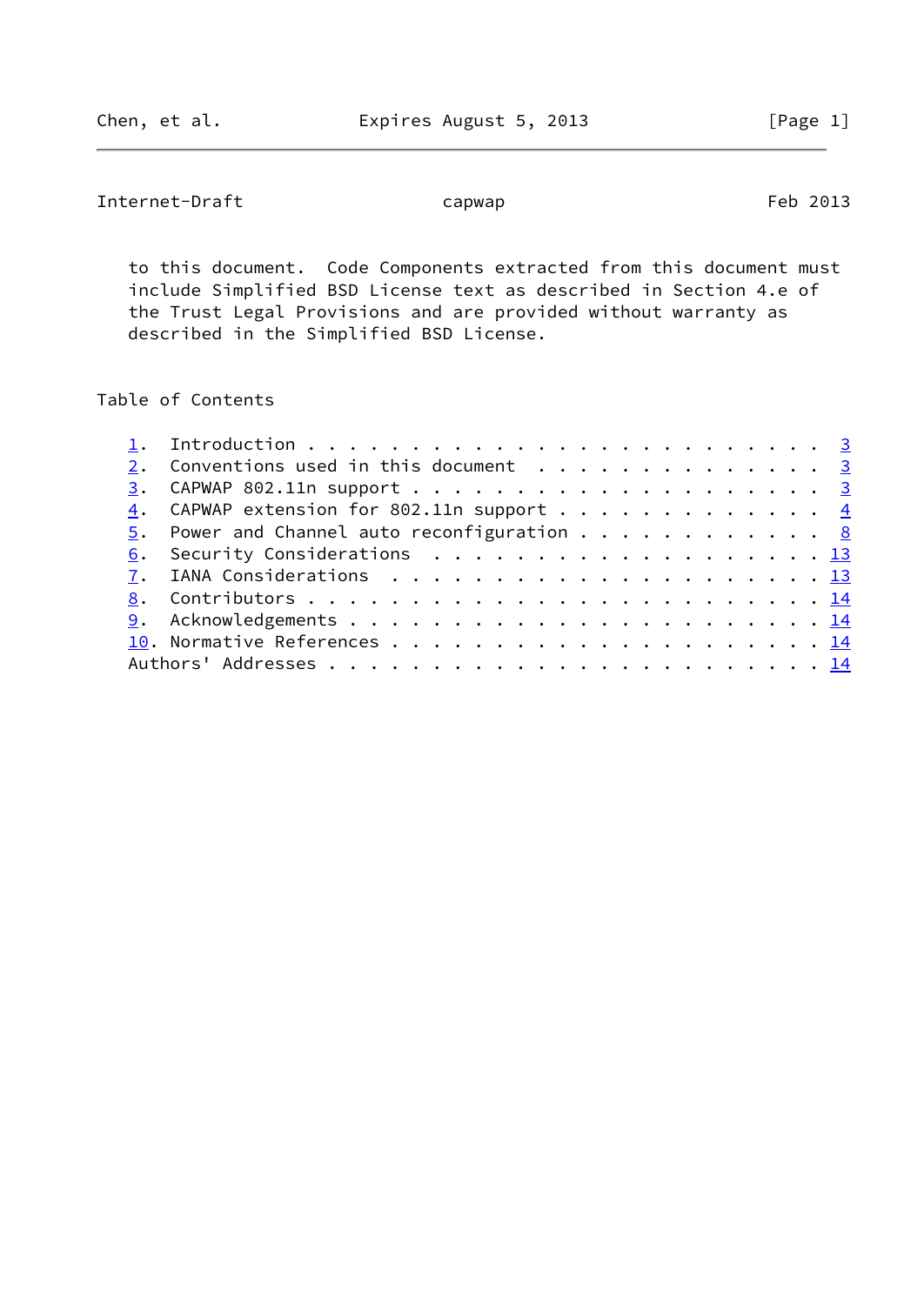Internet-Draft capwap capwap Feb 2013

 to this document. Code Components extracted from this document must include Simplified BSD License text as described in Section 4.e of the Trust Legal Provisions and are provided without warranty as described in the Simplified BSD License.

# Table of Contents

|  | 2. Conventions used in this document $\cdots$ 3          |  |
|--|----------------------------------------------------------|--|
|  |                                                          |  |
|  | $\underline{4}$ . CAPWAP extension for 802.11n support 4 |  |
|  | 5. Power and Channel auto reconfiguration 8              |  |
|  | 6. Security Considerations 13                            |  |
|  |                                                          |  |
|  |                                                          |  |
|  |                                                          |  |
|  |                                                          |  |
|  |                                                          |  |
|  |                                                          |  |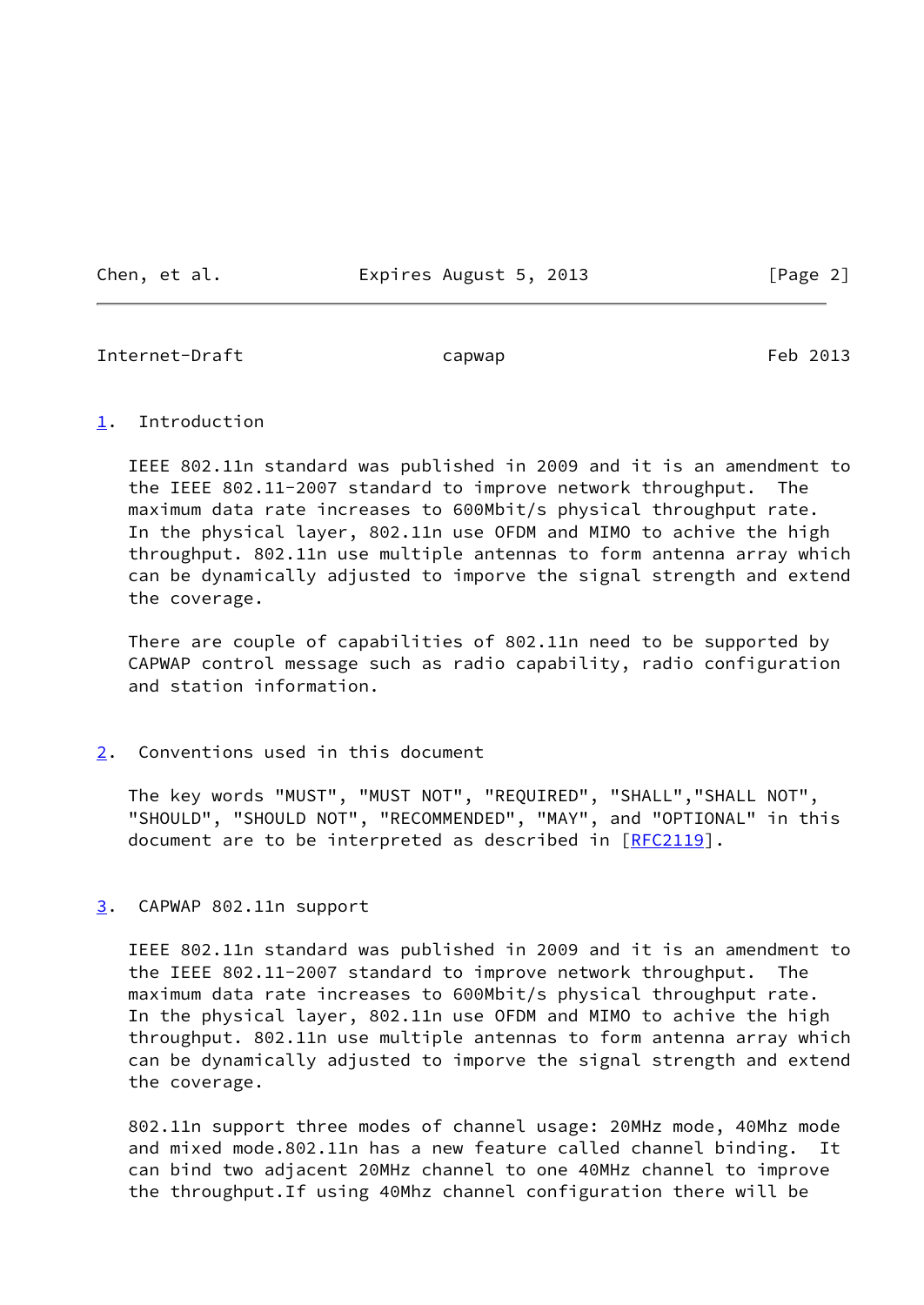Chen, et al. **Expires August 5, 2013** [Page 2]

<span id="page-2-1"></span>Internet-Draft capwap capwap Feb 2013

#### <span id="page-2-0"></span>[1](#page-2-0). Introduction

 IEEE 802.11n standard was published in 2009 and it is an amendment to the IEEE 802.11-2007 standard to improve network throughput. The maximum data rate increases to 600Mbit/s physical throughput rate. In the physical layer, 802.11n use OFDM and MIMO to achive the high throughput. 802.11n use multiple antennas to form antenna array which can be dynamically adjusted to imporve the signal strength and extend the coverage.

 There are couple of capabilities of 802.11n need to be supported by CAPWAP control message such as radio capability, radio configuration and station information.

## <span id="page-2-2"></span>[2](#page-2-2). Conventions used in this document

 The key words "MUST", "MUST NOT", "REQUIRED", "SHALL","SHALL NOT", "SHOULD", "SHOULD NOT", "RECOMMENDED", "MAY", and "OPTIONAL" in this document are to be interpreted as described in [\[RFC2119](https://datatracker.ietf.org/doc/pdf/rfc2119)].

## <span id="page-2-3"></span>[3](#page-2-3). CAPWAP 802.11n support

 IEEE 802.11n standard was published in 2009 and it is an amendment to the IEEE 802.11-2007 standard to improve network throughput. The maximum data rate increases to 600Mbit/s physical throughput rate. In the physical layer, 802.11n use OFDM and MIMO to achive the high throughput. 802.11n use multiple antennas to form antenna array which can be dynamically adjusted to imporve the signal strength and extend the coverage.

 802.11n support three modes of channel usage: 20MHz mode, 40Mhz mode and mixed mode.802.11n has a new feature called channel binding. It can bind two adjacent 20MHz channel to one 40MHz channel to improve the throughput.If using 40Mhz channel configuration there will be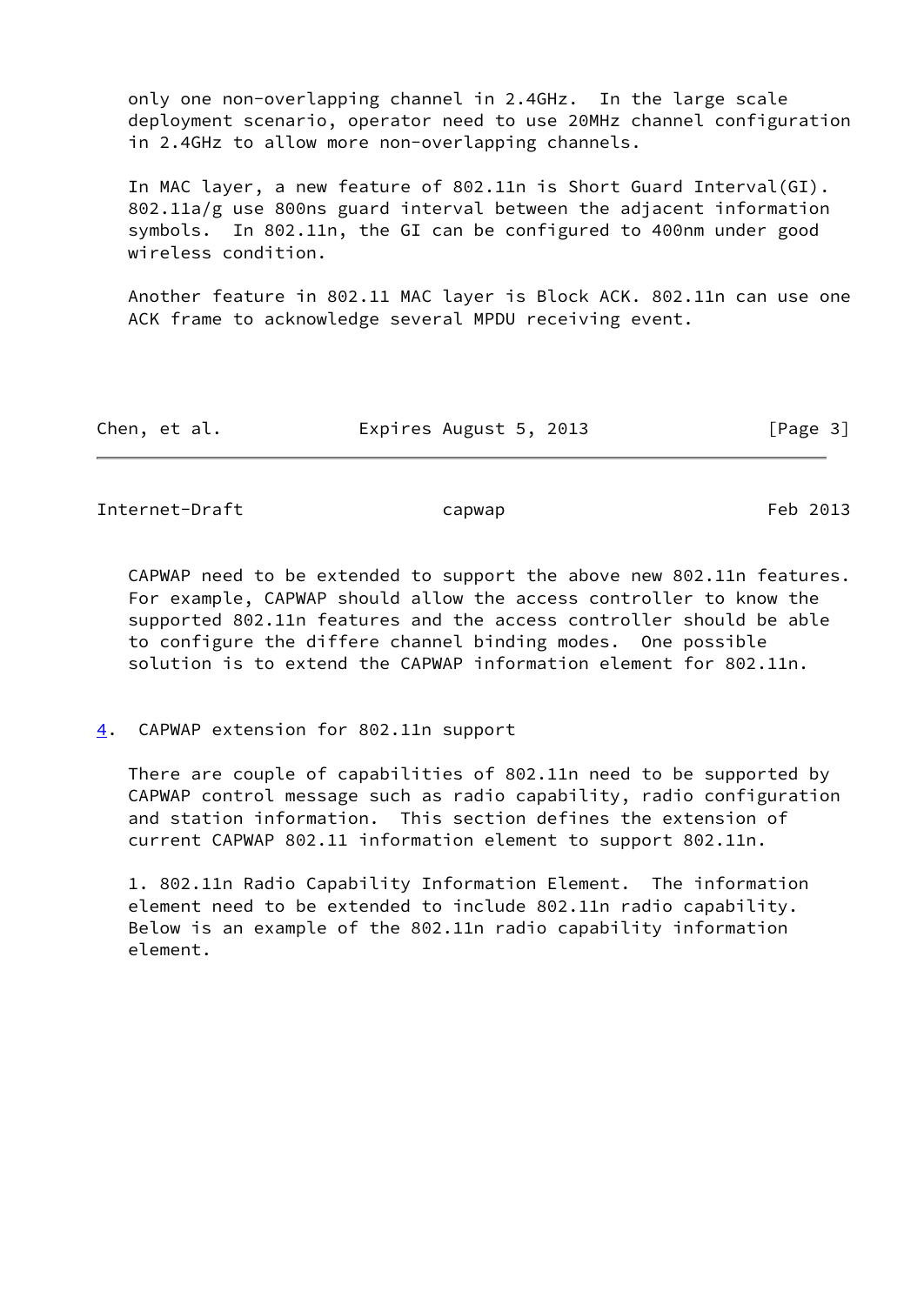only one non-overlapping channel in 2.4GHz. In the large scale deployment scenario, operator need to use 20MHz channel configuration in 2.4GHz to allow more non-overlapping channels.

 In MAC layer, a new feature of 802.11n is Short Guard Interval(GI). 802.11a/g use 800ns guard interval between the adjacent information symbols. In 802.11n, the GI can be configured to 400nm under good wireless condition.

 Another feature in 802.11 MAC layer is Block ACK. 802.11n can use one ACK frame to acknowledge several MPDU receiving event.

| Expires August 5, 2013<br>Chen, et al. | [Page 3] |
|----------------------------------------|----------|
|----------------------------------------|----------|

<span id="page-3-1"></span>Internet-Draft capwap capwap Feb 2013

 CAPWAP need to be extended to support the above new 802.11n features. For example, CAPWAP should allow the access controller to know the supported 802.11n features and the access controller should be able to configure the differe channel binding modes. One possible solution is to extend the CAPWAP information element for 802.11n.

<span id="page-3-0"></span>[4](#page-3-0). CAPWAP extension for 802.11n support

 There are couple of capabilities of 802.11n need to be supported by CAPWAP control message such as radio capability, radio configuration and station information. This section defines the extension of current CAPWAP 802.11 information element to support 802.11n.

 1. 802.11n Radio Capability Information Element. The information element need to be extended to include 802.11n radio capability. Below is an example of the 802.11n radio capability information element.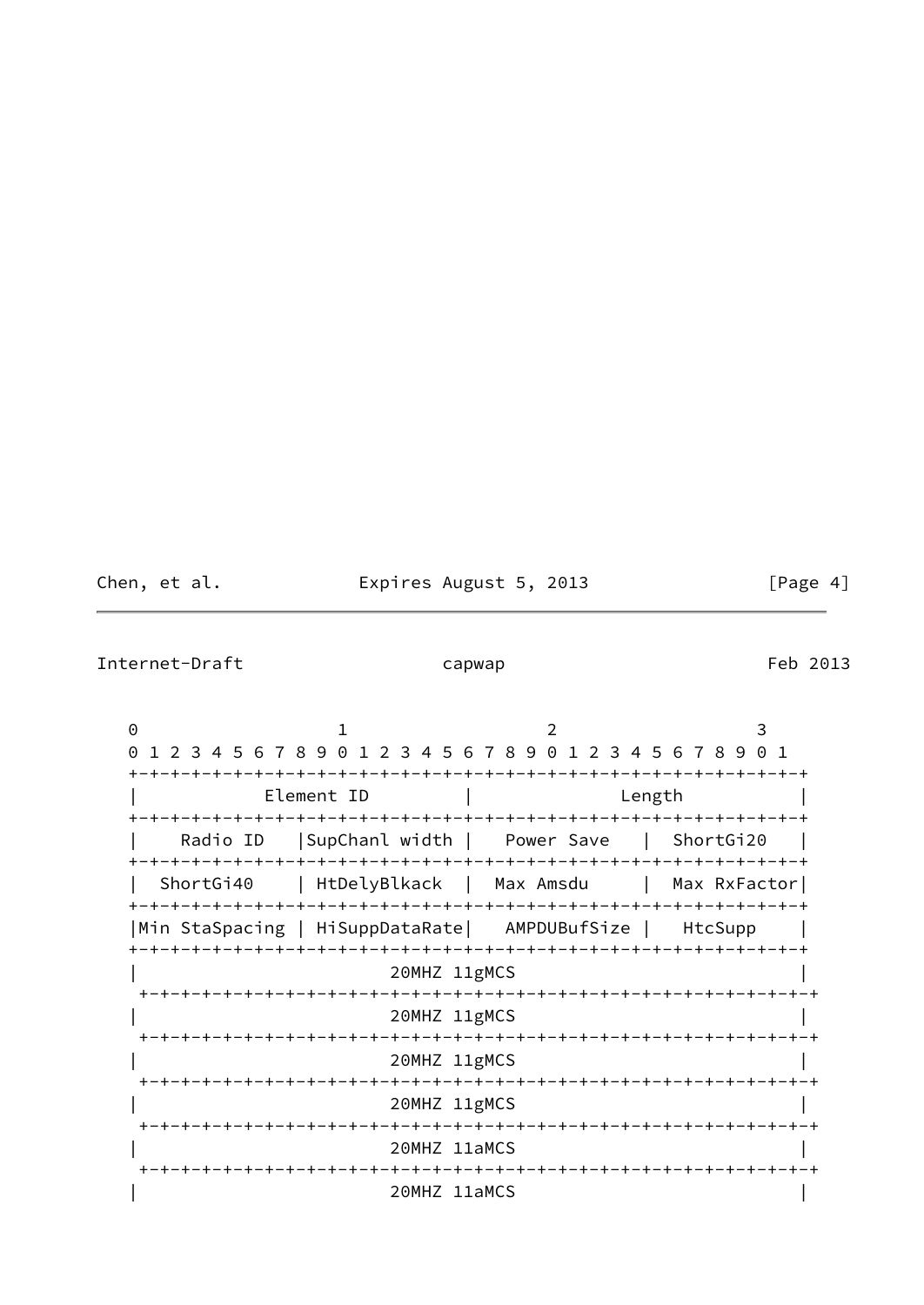Chen, et al. **Expires August 5, 2013** [Page 4]

Internet-Draft capwap capwap Feb 2013

0 1 2 3 0 1 2 3 4 5 6 7 8 9 0 1 2 3 4 5 6 7 8 9 0 1 2 3 4 5 6 7 8 9 0 1 +-+-+-+-+-+-+-+-+-+-+-+-+-+-+-+-+-+-+-+-+-+-+-+-+-+-+-+-+-+-+-+-+ Element ID | Length +-+-+-+-+-+-+-+-+-+-+-+-+-+-+-+-+-+-+-+-+-+-+-+-+-+-+-+-+-+-+-+-+ Radio ID | SupChanl width | Power Save | ShortGi20 +-+-+-+-+-+-+-+-+-+-+-+-+-+-+-+-+-+-+-+-+-+-+-+-+-+-+-+-+-+-+-+-+ | ShortGi40 | HtDelyBlkack | Max Amsdu | Max RxFactor| +-+-+-+-+-+-+-+-+-+-+-+-+-+-+-+-+-+-+-+-+-+-+-+-+-+-+-+-+-+-+-+-+ |Min StaSpacing | HiSuppDataRate| AMPDUBufSize | HtcSupp | +-+-+-+-+-+-+-+-+-+-+-+-+-+-+-+-+-+-+-+-+-+-+-+-+-+-+-+-+-+-+-+-+ | 20MHZ 11gMCS | +-+-+-+-+-+-+-+-+-+-+-+-+-+-+-+-+-+-+-+-+-+-+-+-+-+-+-+-+-+-+-+-+ | 20MHZ 11gMCS | +-+-+-+-+-+-+-+-+-+-+-+-+-+-+-+-+-+-+-+-+-+-+-+-+-+-+-+-+-+-+-+-+ | 20MHZ 11gMCS | +-+-+-+-+-+-+-+-+-+-+-+-+-+-+-+-+-+-+-+-+-+-+-+-+-+-+-+-+-+-+-+-+ | 20MHZ 11gMCS | +-+-+-+-+-+-+-+-+-+-+-+-+-+-+-+-+-+-+-+-+-+-+-+-+-+-+-+-+-+-+-+-+ | 20MHZ 11aMCS | +-+-+-+-+-+-+-+-+-+-+-+-+-+-+-+-+-+-+-+-+-+-+-+-+-+-+-+-+-+-+-+-+ | 20MHZ 11aMCS |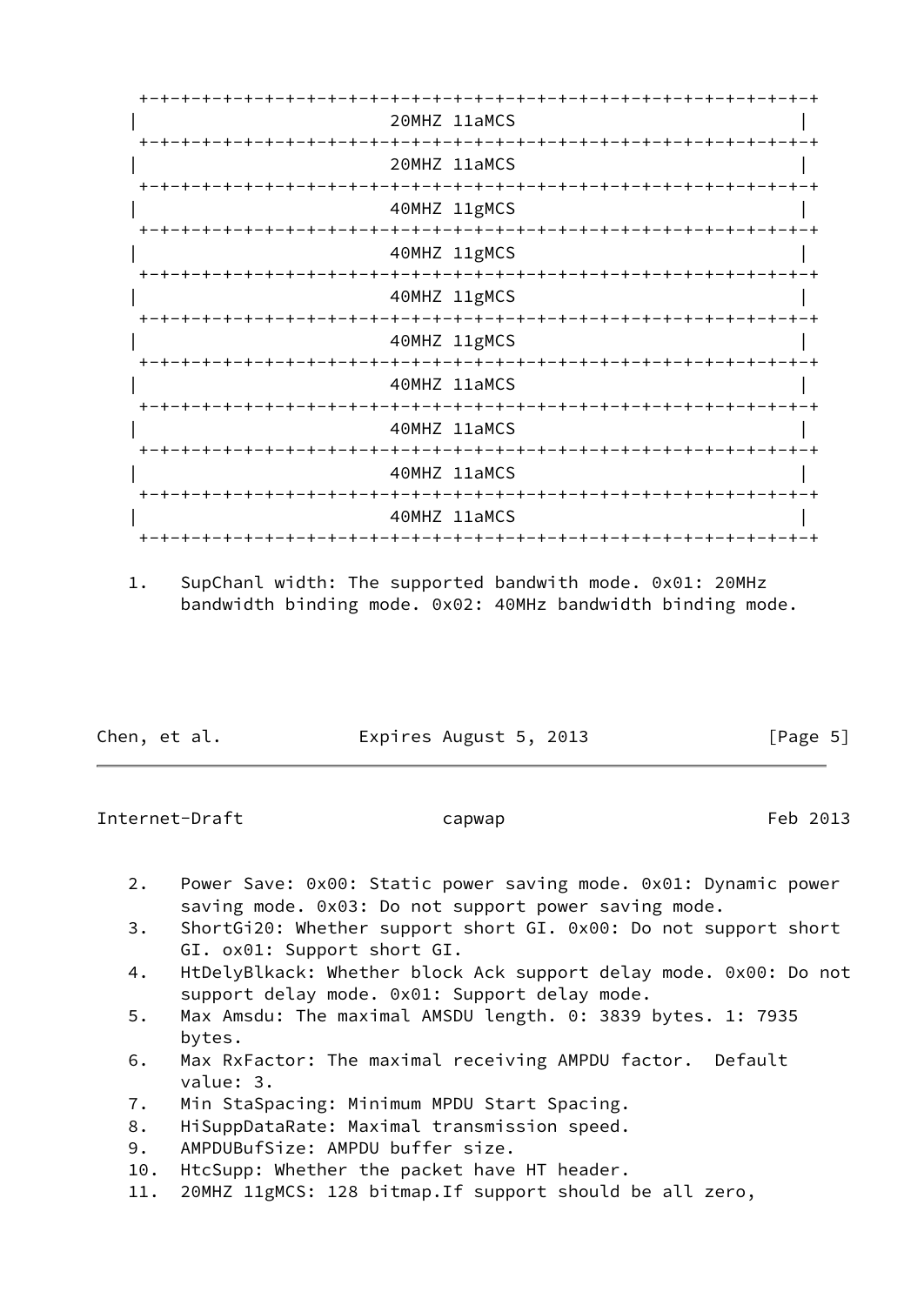|                                         | 20MHZ 11aMCS                              |
|-----------------------------------------|-------------------------------------------|
| +-+-+-+-+-+-+-+-+<br>-+-+-+-+-+         | +-+-+-+-+-+-+-+-+-+-+-<br>20MHZ 11aMCS    |
|                                         | 40MHZ 11gMCS                              |
|                                         | 40MHZ 11gMCS                              |
|                                         | 40MHZ 11gMCS                              |
|                                         | 40MHZ 11gMCS                              |
|                                         | -+-+-+-+-+-+-+-+-+-+-+-+-<br>40MHZ 11aMCS |
|                                         | 40MHZ 11aMCS                              |
| +-+-+-+-+-+-+-+-+-+-+-+-+-+-+-+-+-+-+-+ | ·+-+-+-+-+-+-+-+-+-+-+-+<br>40MHZ 11aMCS  |
|                                         | 40MHZ 11aMCS                              |
|                                         |                                           |

 1. SupChanl width: The supported bandwith mode. 0x01: 20MHz bandwidth binding mode. 0x02: 40MHz bandwidth binding mode.

| Chen, et al. | Expires August 5, 2013 | [Page 5] |
|--------------|------------------------|----------|
|              |                        |          |

Internet-Draft capwap capwap Feb 2013

- 2. Power Save: 0x00: Static power saving mode. 0x01: Dynamic power saving mode. 0x03: Do not support power saving mode.
- 3. ShortGi20: Whether support short GI. 0x00: Do not support short GI. ox01: Support short GI.
- 4. HtDelyBlkack: Whether block Ack support delay mode. 0x00: Do not support delay mode. 0x01: Support delay mode.
- 5. Max Amsdu: The maximal AMSDU length. 0: 3839 bytes. 1: 7935 bytes.
- 6. Max RxFactor: The maximal receiving AMPDU factor. Default value: 3.
- 7. Min StaSpacing: Minimum MPDU Start Spacing.
- 8. HiSuppDataRate: Maximal transmission speed.
- 9. AMPDUBufSize: AMPDU buffer size.
- 10. HtcSupp: Whether the packet have HT header.
- 11. 20MHZ 11gMCS: 128 bitmap.If support should be all zero,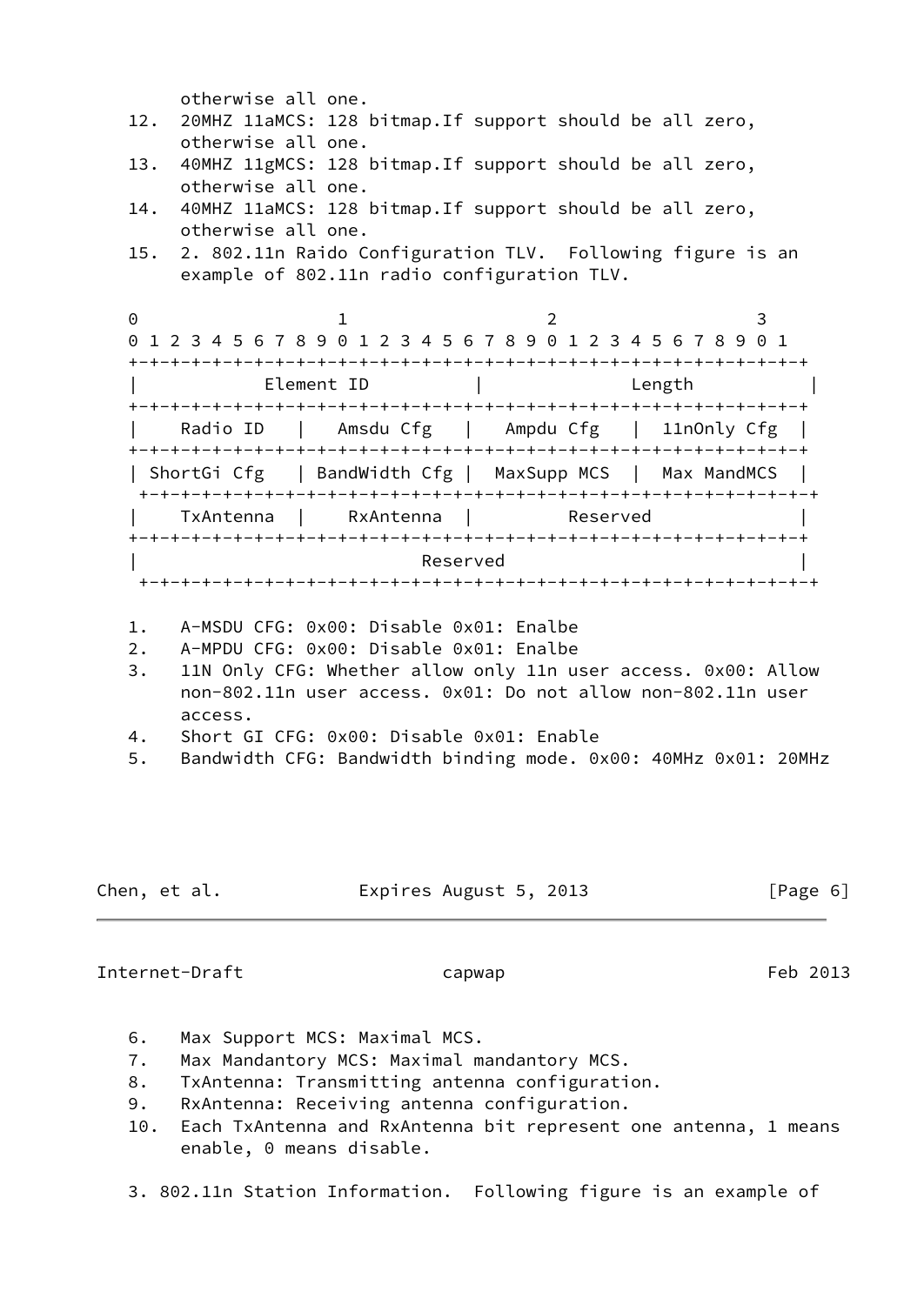otherwise all one.

- 12. 20MHZ 11aMCS: 128 bitmap.If support should be all zero, otherwise all one.
- 13. 40MHZ 11gMCS: 128 bitmap.If support should be all zero, otherwise all one.
- 14. 40MHZ 11aMCS: 128 bitmap.If support should be all zero, otherwise all one.
- 15. 2. 802.11n Raido Configuration TLV. Following figure is an example of 802.11n radio configuration TLV.

0 1 2 3 0 1 2 3 4 5 6 7 8 9 0 1 2 3 4 5 6 7 8 9 0 1 2 3 4 5 6 7 8 9 0 1 +-+-+-+-+-+-+-+-+-+-+-+-+-+-+-+-+-+-+-+-+-+-+-+-+-+-+-+-+-+-+-+-+ | Element ID | Length | +-+-+-+-+-+-+-+-+-+-+-+-+-+-+-+-+-+-+-+-+-+-+-+-+-+-+-+-+-+-+-+-+ | Radio ID | Amsdu Cfg | Ampdu Cfg | 11nOnly Cfg | +-+-+-+-+-+-+-+-+-+-+-+-+-+-+-+-+-+-+-+-+-+-+-+-+-+-+-+-+-+-+-+-+ | ShortGi Cfg | BandWidth Cfg | MaxSupp MCS | Max MandMCS | +-+-+-+-+-+-+-+-+-+-+-+-+-+-+-+-+-+-+-+-+-+-+-+-+-+-+-+-+-+-+-+-+ TxAntenna | RxAntenna | Reserved +-+-+-+-+-+-+-+-+-+-+-+-+-+-+-+-+-+-+-+-+-+-+-+-+-+-+-+-+-+-+-+-+ | Reserved | +-+-+-+-+-+-+-+-+-+-+-+-+-+-+-+-+-+-+-+-+-+-+-+-+-+-+-+-+-+-+-+-+

- 1. A-MSDU CFG: 0x00: Disable 0x01: Enalbe
- 2. A-MPDU CFG: 0x00: Disable 0x01: Enalbe
- 3. 11N Only CFG: Whether allow only 11n user access. 0x00: Allow non-802.11n user access. 0x01: Do not allow non-802.11n user access.
- 4. Short GI CFG: 0x00: Disable 0x01: Enable
- 5. Bandwidth CFG: Bandwidth binding mode. 0x00: 40MHz 0x01: 20MHz

Chen, et al. Expires August 5, 2013 [Page 6]

Internet-Draft capwap capwap Feb 2013

- 6. Max Support MCS: Maximal MCS.
- 7. Max Mandantory MCS: Maximal mandantory MCS.
- 8. TxAntenna: Transmitting antenna configuration.
- 9. RxAntenna: Receiving antenna configuration.
- 10. Each TxAntenna and RxAntenna bit represent one antenna, 1 means enable, 0 means disable.
- 3. 802.11n Station Information. Following figure is an example of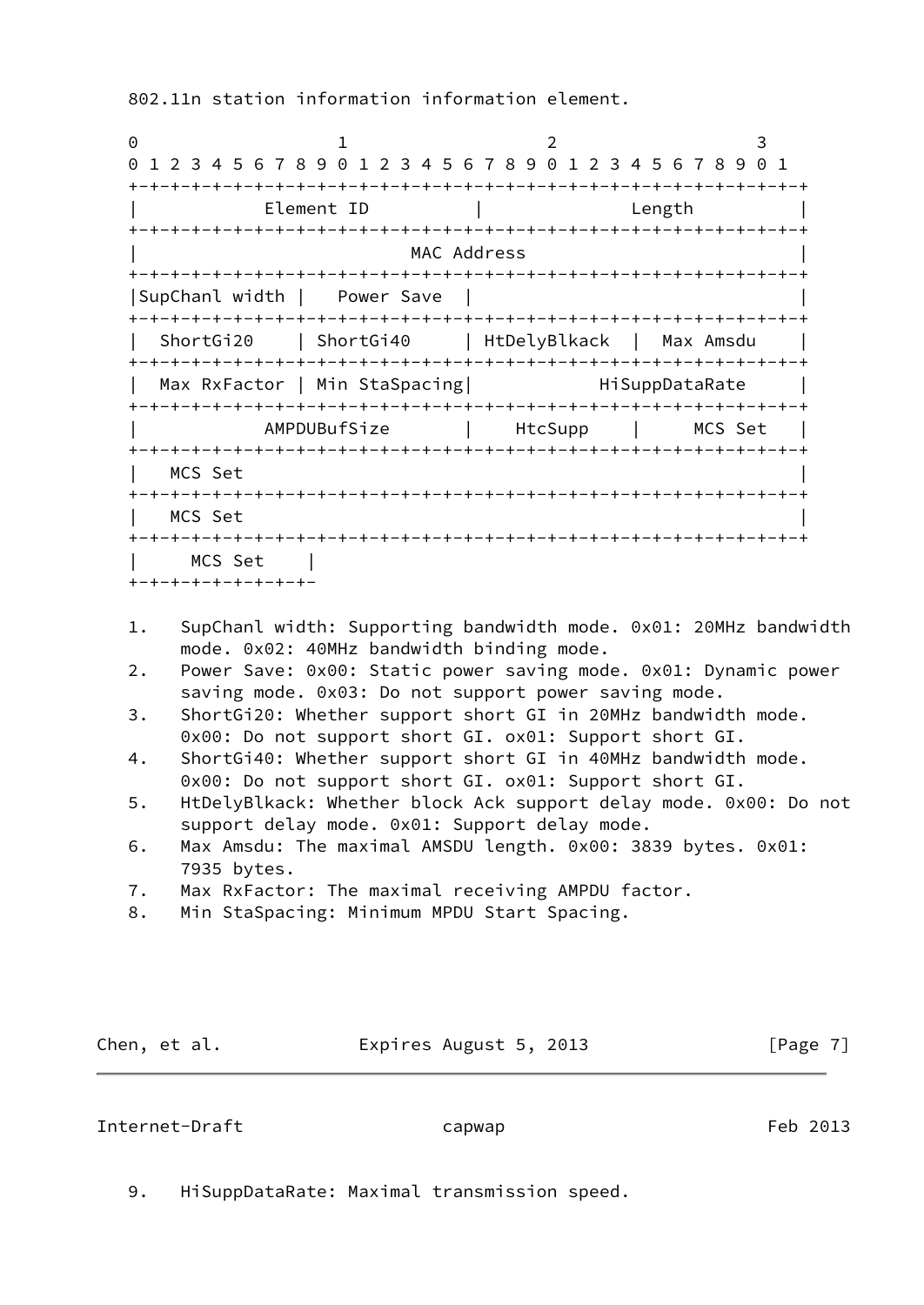802.11n station information information element.

| 0                                   |                                                               |                                         | 3                            |
|-------------------------------------|---------------------------------------------------------------|-----------------------------------------|------------------------------|
| 0                                   | 1 2 3 4 5 6 7 8 9 0 1 2 3 4 5 6 7 8 9 0 1 2 3 4 5 6 7 8 9 0 1 |                                         |                              |
|                                     |                                                               |                                         |                              |
|                                     | Element ID                                                    |                                         | Length                       |
|                                     |                                                               |                                         |                              |
|                                     |                                                               | MAC Address                             |                              |
|                                     |                                                               |                                         |                              |
| SupChanl width                      | Power Save                                                    |                                         | +-+-+-+-+-+-+-+-+-+-+-+-+-+- |
| ShortGi20                           |                                                               | ShortGi40   HtDelyBlkack                | Max Amsdu                    |
|                                     |                                                               |                                         |                              |
|                                     | Max RxFactor   Min StaSpacing                                 |                                         | HiSuppDataRate               |
| . + - + - + - + - + - + - + - + - + | AMPDUBufSize                                                  | -+-+-+-+-+-+-+-+-+<br>HtcSupp           | -+-+-+-+-+<br>MCS Set        |
|                                     | -+-+-+-+-+-+-+-+-+-+-+                                        | -+-+-+-+-+-+-+-+-+-+-+-+-+-+-+-+-+-+-+- |                              |
| MCS Set                             |                                                               |                                         |                              |
|                                     |                                                               |                                         |                              |
| MCS Set                             |                                                               |                                         |                              |
| -+-+-+-+-+                          |                                                               |                                         | -+-+-+-+-+-+-+-+-+-+-+-+-+   |
| MCS Set                             |                                                               |                                         |                              |

- 1. SupChanl width: Supporting bandwidth mode. 0x01: 20MHz bandwidth mode. 0x02: 40MHz bandwidth binding mode.
- 2. Power Save: 0x00: Static power saving mode. 0x01: Dynamic power saving mode. 0x03: Do not support power saving mode.
- 3. ShortGi20: Whether support short GI in 20MHz bandwidth mode. 0x00: Do not support short GI. ox01: Support short GI.
- 4. ShortGi40: Whether support short GI in 40MHz bandwidth mode. 0x00: Do not support short GI. ox01: Support short GI.
- 5. HtDelyBlkack: Whether block Ack support delay mode. 0x00: Do not support delay mode. 0x01: Support delay mode.
- 6. Max Amsdu: The maximal AMSDU length. 0x00: 3839 bytes. 0x01: 7935 bytes.
- 7. Max RxFactor: The maximal receiving AMPDU factor.
- 8. Min StaSpacing: Minimum MPDU Start Spacing.

Chen, et al. **Expires August 5, 2013** [Page 7]

## <span id="page-7-0"></span>Internet-Draft capwap capwap Feb 2013

9. HiSuppDataRate: Maximal transmission speed.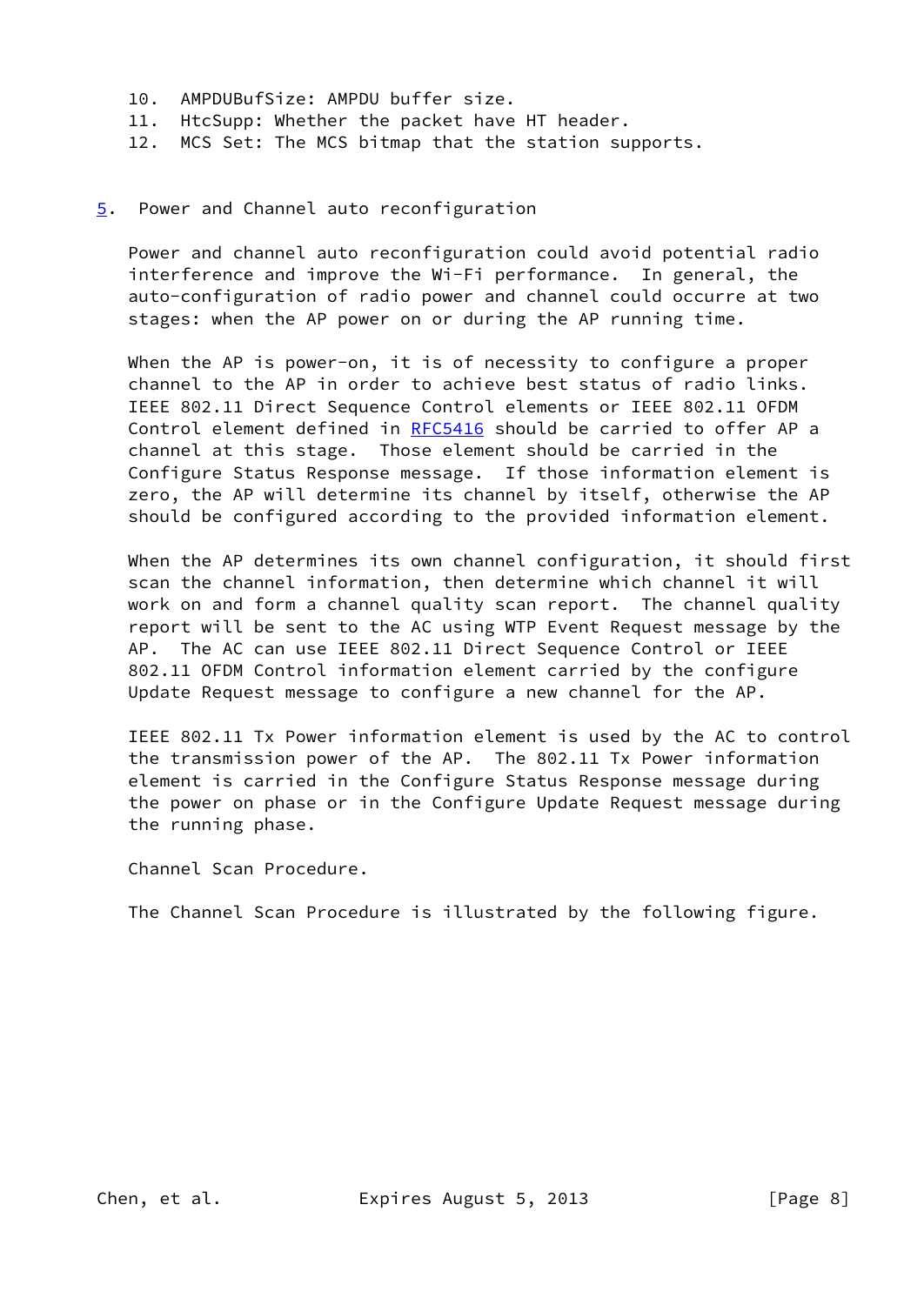- 10. AMPDUBufSize: AMPDU buffer size.
- 11. HtcSupp: Whether the packet have HT header.
- 12. MCS Set: The MCS bitmap that the station supports.

#### <span id="page-8-0"></span>[5](#page-8-0). Power and Channel auto reconfiguration

 Power and channel auto reconfiguration could avoid potential radio interference and improve the Wi-Fi performance. In general, the auto-configuration of radio power and channel could occurre at two stages: when the AP power on or during the AP running time.

When the AP is power-on, it is of necessity to configure a proper channel to the AP in order to achieve best status of radio links. IEEE 802.11 Direct Sequence Control elements or IEEE 802.11 OFDM Control element defined in [RFC5416](https://datatracker.ietf.org/doc/pdf/rfc5416) should be carried to offer AP a channel at this stage. Those element should be carried in the Configure Status Response message. If those information element is zero, the AP will determine its channel by itself, otherwise the AP should be configured according to the provided information element.

 When the AP determines its own channel configuration, it should first scan the channel information, then determine which channel it will work on and form a channel quality scan report. The channel quality report will be sent to the AC using WTP Event Request message by the AP. The AC can use IEEE 802.11 Direct Sequence Control or IEEE 802.11 OFDM Control information element carried by the configure Update Request message to configure a new channel for the AP.

 IEEE 802.11 Tx Power information element is used by the AC to control the transmission power of the AP. The 802.11 Tx Power information element is carried in the Configure Status Response message during the power on phase or in the Configure Update Request message during the running phase.

Channel Scan Procedure.

The Channel Scan Procedure is illustrated by the following figure.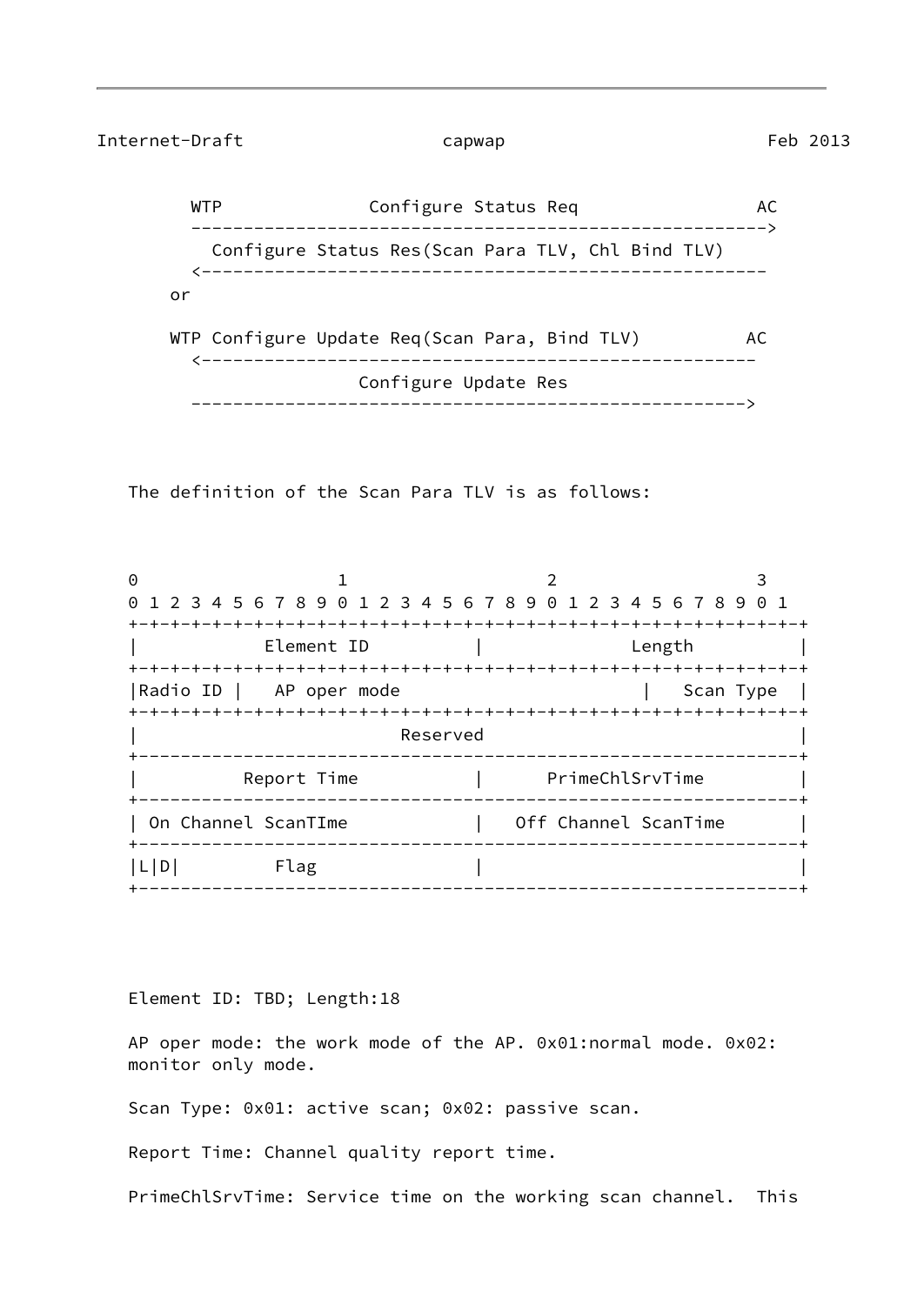Internet-Draft capwap capwap Feb 2013

WTP Configure Status Req AC -------------------------------------------------------> Configure Status Res(Scan Para TLV, Chl Bind TLV) <----------------------------------------------------- or WTP Configure Update Req(Scan Para, Bind TLV) AC <----------------------------------------------------- Configure Update Res ----------------------------------------------------->

The definition of the Scan Para TLV is as follows:

0 1 2 3 0 1 2 3 4 5 6 7 8 9 0 1 2 3 4 5 6 7 8 9 0 1 2 3 4 5 6 7 8 9 0 1 +-+-+-+-+-+-+-+-+-+-+-+-+-+-+-+-+-+-+-+-+-+-+-+-+-+-+-+-+-+-+-+-+ | Element ID | Length | +-+-+-+-+-+-+-+-+-+-+-+-+-+-+-+-+-+-+-+-+-+-+-+-+-+-+-+-+-+-+-+-+ |Radio ID | AP oper mode | Scan Type | +-+-+-+-+-+-+-+-+-+-+-+-+-+-+-+-+-+-+-+-+-+-+-+-+-+-+-+-+-+-+-+-+ Reserved +---------------------------------------------------------------+ Report Time | PrimeChlSrvTime +---------------------------------------------------------------+ | On Channel ScanTIme | Off Channel ScanTime +---------------------------------------------------------------+  $|L|D|$  Flag | +---------------------------------------------------------------+

Element ID: TBD; Length:18

 AP oper mode: the work mode of the AP. 0x01:normal mode. 0x02: monitor only mode.

Scan Type: 0x01: active scan; 0x02: passive scan.

Report Time: Channel quality report time.

PrimeChlSrvTime: Service time on the working scan channel. This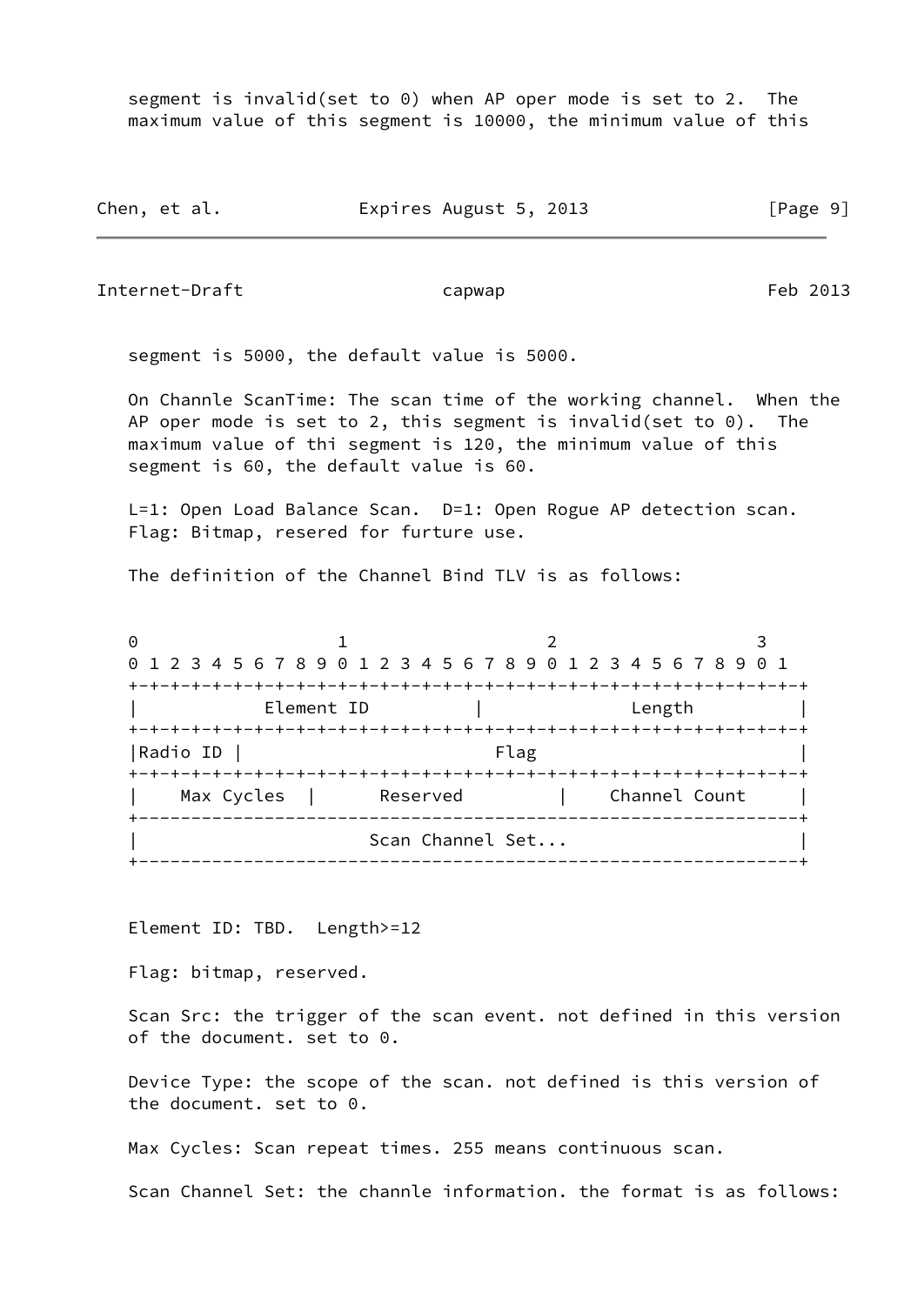segment is invalid(set to 0) when AP oper mode is set to 2. The maximum value of this segment is 10000, the minimum value of this

Chen, et al. **Expires August 5, 2013** [Page 9]

Internet-Draft capwap capwap Feb 2013

segment is 5000, the default value is 5000.

 On Channle ScanTime: The scan time of the working channel. When the AP oper mode is set to 2, this segment is invalid(set to  $0$ ). The maximum value of thi segment is 120, the minimum value of this segment is 60, the default value is 60.

L=1: Open Load Balance Scan. D=1: Open Rogue AP detection scan. Flag: Bitmap, resered for furture use.

The definition of the Channel Bind TLV is as follows:

0 1 2 3 0 1 2 3 4 5 6 7 8 9 0 1 2 3 4 5 6 7 8 9 0 1 2 3 4 5 6 7 8 9 0 1 +-+-+-+-+-+-+-+-+-+-+-+-+-+-+-+-+-+-+-+-+-+-+-+-+-+-+-+-+-+-+-+-+ | Element ID | Length | +-+-+-+-+-+-+-+-+-+-+-+-+-+-+-+-+-+-+-+-+-+-+-+-+-+-+-+-+-+-+-+-+ |Radio ID | Flag | Flag | Flag | Flag | Flag | Flag | Flag | Flag | Flag | Flag | Flag | Flag | Flag | Flag | Flag | Flag | Flag | Flag | Flag | Flag | Flag | Flag | Flag | Flag | Flag | Flag | Flag | Flag | Flag | Flag | +-+-+-+-+-+-+-+-+-+-+-+-+-+-+-+-+-+-+-+-+-+-+-+-+-+-+-+-+-+-+-+-+ Max Cycles | Reserved | Channel Count | +---------------------------------------------------------------+ Scan Channel Set... +---------------------------------------------------------------+

Element ID: TBD. Length>=12

Flag: bitmap, reserved.

 Scan Src: the trigger of the scan event. not defined in this version of the document. set to 0.

 Device Type: the scope of the scan. not defined is this version of the document. set to 0.

Max Cycles: Scan repeat times. 255 means continuous scan.

Scan Channel Set: the channle information. the format is as follows: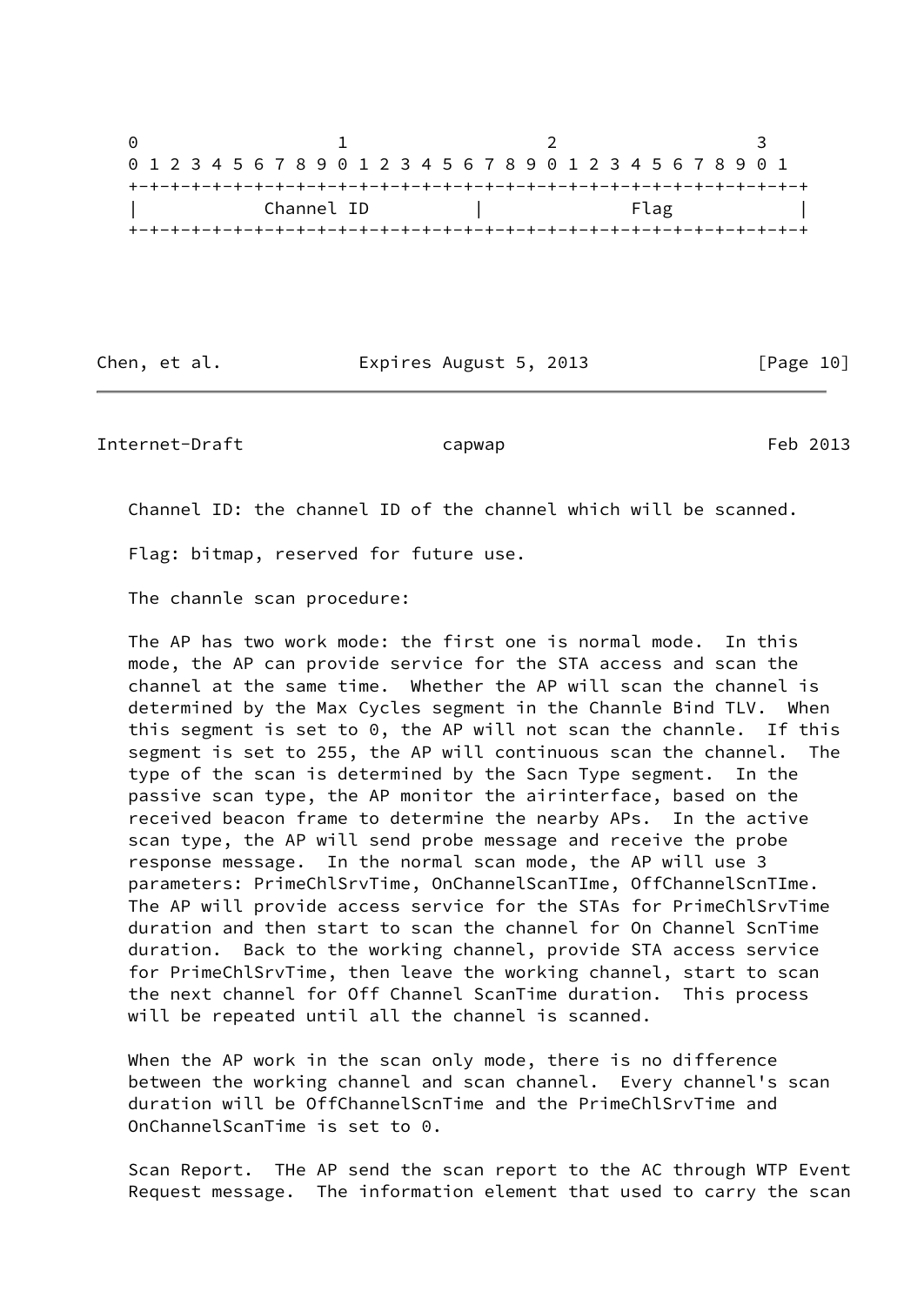0 1 2 3 0 1 2 3 4 5 6 7 8 9 0 1 2 3 4 5 6 7 8 9 0 1 2 3 4 5 6 7 8 9 0 1 +-+-+-+-+-+-+-+-+-+-+-+-+-+-+-+-+-+-+-+-+-+-+-+-+-+-+-+-+-+-+-+-+ | Channel ID | Flag | Flag +-+-+-+-+-+-+-+-+-+-+-+-+-+-+-+-+-+-+-+-+-+-+-+-+-+-+-+-+-+-+-+-+

Chen, et al. **Expires August 5, 2013** [Page 10]

Internet-Draft capwap capwap Feb 2013

Channel ID: the channel ID of the channel which will be scanned.

Flag: bitmap, reserved for future use.

The channle scan procedure:

 The AP has two work mode: the first one is normal mode. In this mode, the AP can provide service for the STA access and scan the channel at the same time. Whether the AP will scan the channel is determined by the Max Cycles segment in the Channle Bind TLV. When this segment is set to 0, the AP will not scan the channle. If this segment is set to 255, the AP will continuous scan the channel. The type of the scan is determined by the Sacn Type segment. In the passive scan type, the AP monitor the airinterface, based on the received beacon frame to determine the nearby APs. In the active scan type, the AP will send probe message and receive the probe response message. In the normal scan mode, the AP will use 3 parameters: PrimeChlSrvTime, OnChannelScanTIme, OffChannelScnTIme. The AP will provide access service for the STAs for PrimeChlSrvTime duration and then start to scan the channel for On Channel ScnTime duration. Back to the working channel, provide STA access service for PrimeChlSrvTime, then leave the working channel, start to scan the next channel for Off Channel ScanTime duration. This process will be repeated until all the channel is scanned.

 When the AP work in the scan only mode, there is no difference between the working channel and scan channel. Every channel's scan duration will be OffChannelScnTime and the PrimeChlSrvTime and OnChannelScanTime is set to 0.

 Scan Report. THe AP send the scan report to the AC through WTP Event Request message. The information element that used to carry the scan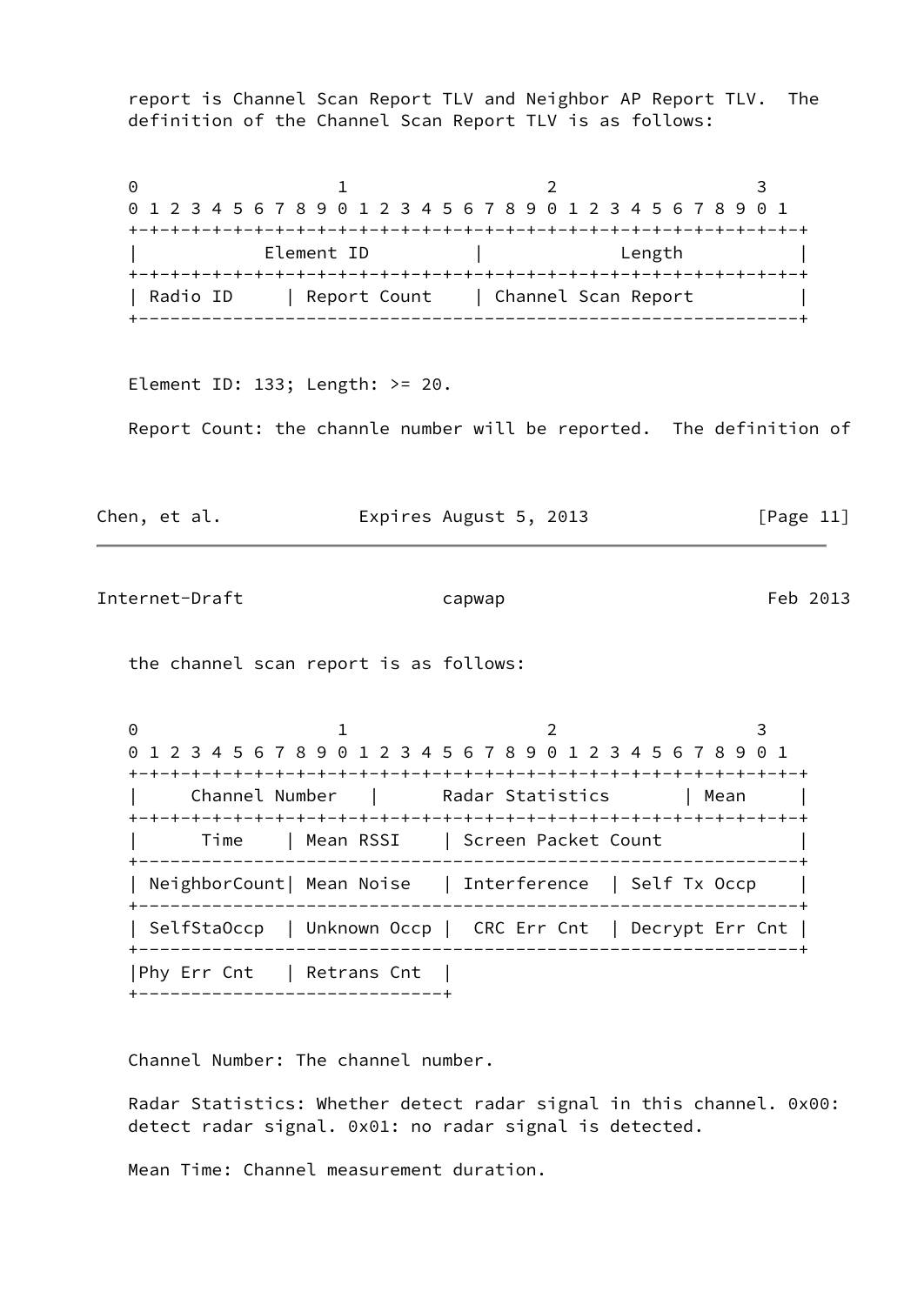report is Channel Scan Report TLV and Neighbor AP Report TLV. The definition of the Channel Scan Report TLV is as follows:

0 1 2 3 0 1 2 3 4 5 6 7 8 9 0 1 2 3 4 5 6 7 8 9 0 1 2 3 4 5 6 7 8 9 0 1 +-+-+-+-+-+-+-+-+-+-+-+-+-+-+-+-+-+-+-+-+-+-+-+-+-+-+-+-+-+-+-+-+ Element ID | Length | Length +-+-+-+-+-+-+-+-+-+-+-+-+-+-+-+-+-+-+-+-+-+-+-+-+-+-+-+-+-+-+-+-+ | Radio ID | Report Count | Channel Scan Report +---------------------------------------------------------------+

Element ID: 133; Length: >= 20.

Report Count: the channle number will be reported. The definition of

| Chen, et al. | Expires August 5, 2013 | [Page 11] |
|--------------|------------------------|-----------|
|              |                        |           |

Internet-Draft capwap capwap Feb 2013

the channel scan report is as follows:

0 1 2 3 0 1 2 3 4 5 6 7 8 9 0 1 2 3 4 5 6 7 8 9 0 1 2 3 4 5 6 7 8 9 0 1 +-+-+-+-+-+-+-+-+-+-+-+-+-+-+-+-+-+-+-+-+-+-+-+-+-+-+-+-+-+-+-+-+ Channel Number | Radar Statistics | Mean | +-+-+-+-+-+-+-+-+-+-+-+-+-+-+-+-+-+-+-+-+-+-+-+-+-+-+-+-+-+-+-+-+ | Time | Mean RSSI | Screen Packet Count | +---------------------------------------------------------------+ | NeighborCount| Mean Noise | Interference | Self Tx Occp | +---------------------------------------------------------------+ | SelfStaOccp | Unknown Occp | CRC Err Cnt | Decrypt Err Cnt | +---------------------------------------------------------------+ |Phy Err Cnt | Retrans Cnt | +-----------------------------+

Channel Number: The channel number.

 Radar Statistics: Whether detect radar signal in this channel. 0x00: detect radar signal. 0x01: no radar signal is detected.

Mean Time: Channel measurement duration.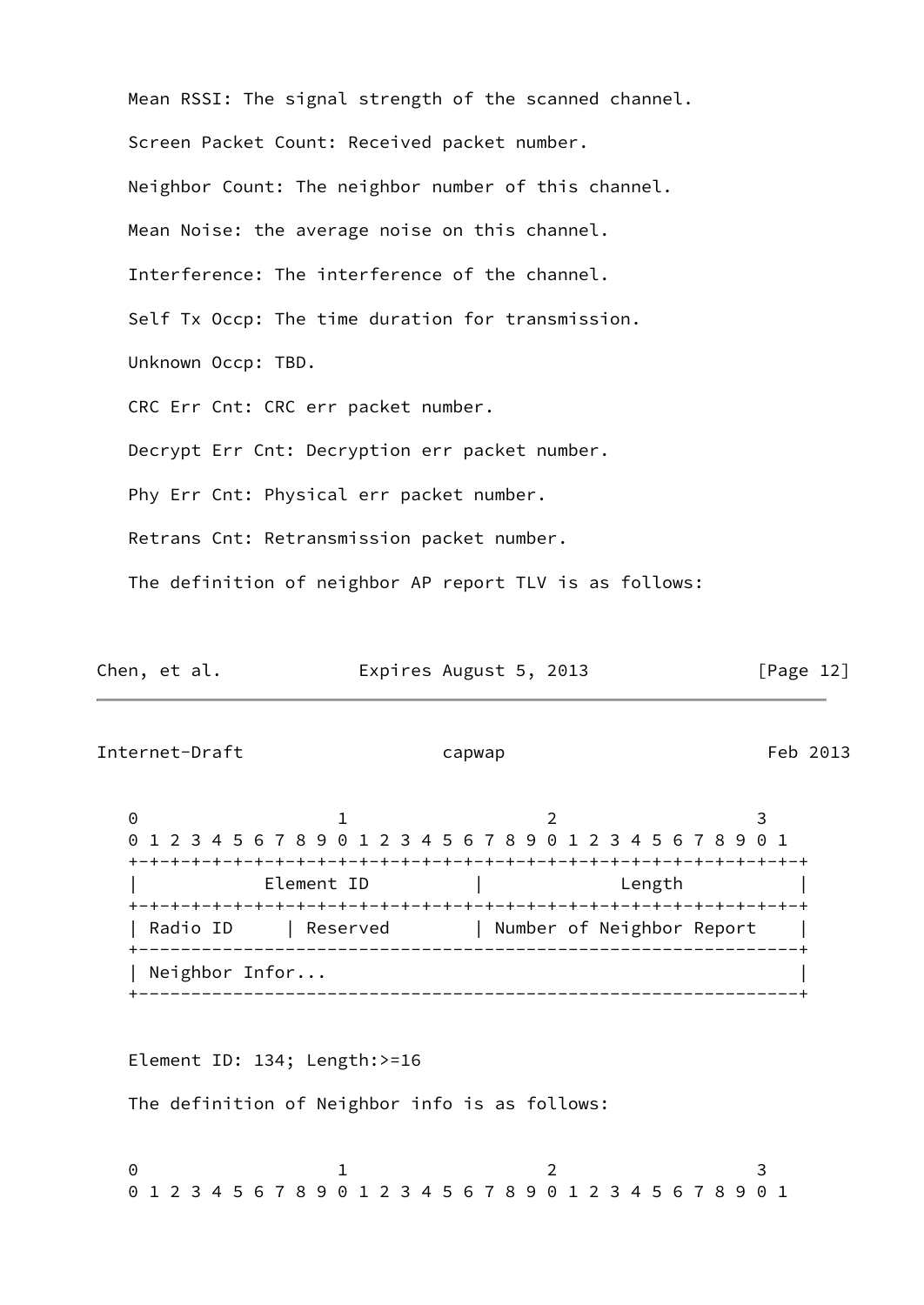| Mean RSSI: The signal strength of the scanned channel.  |
|---------------------------------------------------------|
| Screen Packet Count: Received packet number.            |
| Neighbor Count: The neighbor number of this channel.    |
| Mean Noise: the average noise on this channel.          |
| Interference: The interference of the channel.          |
| Self Tx Occp: The time duration for transmission.       |
| Unknown Occp: TBD.                                      |
| CRC Err Cnt: CRC err packet number.                     |
| Decrypt Err Cnt: Decryption err packet number.          |
| Phy Err Cnt: Physical err packet number.                |
| Retrans Cnt: Retransmission packet number.              |
| The definition of neighbor AP report TLV is as follows: |

| Chen, et al. | Expires August 5, 2013 | [Page 12] |
|--------------|------------------------|-----------|
|--------------|------------------------|-----------|

<span id="page-13-0"></span>Internet-Draft capwap capwap Feb 2013

0 1 2 3 0 1 2 3 4 5 6 7 8 9 0 1 2 3 4 5 6 7 8 9 0 1 2 3 4 5 6 7 8 9 0 1 +-+-+-+-+-+-+-+-+-+-+-+-+-+-+-+-+-+-+-+-+-+-+-+-+-+-+-+-+-+-+-+-+ Element ID | Length | Length +-+-+-+-+-+-+-+-+-+-+-+-+-+-+-+-+-+-+-+-+-+-+-+-+-+-+-+-+-+-+-+-+ | Radio ID | Reserved | Number of Neighbor Report | +---------------------------------------------------------------+ | Neighbor Infor... | +---------------------------------------------------------------+

Element ID: 134; Length:>=16

The definition of Neighbor info is as follows:

0 1 2 3 0 1 2 3 4 5 6 7 8 9 0 1 2 3 4 5 6 7 8 9 0 1 2 3 4 5 6 7 8 9 0 1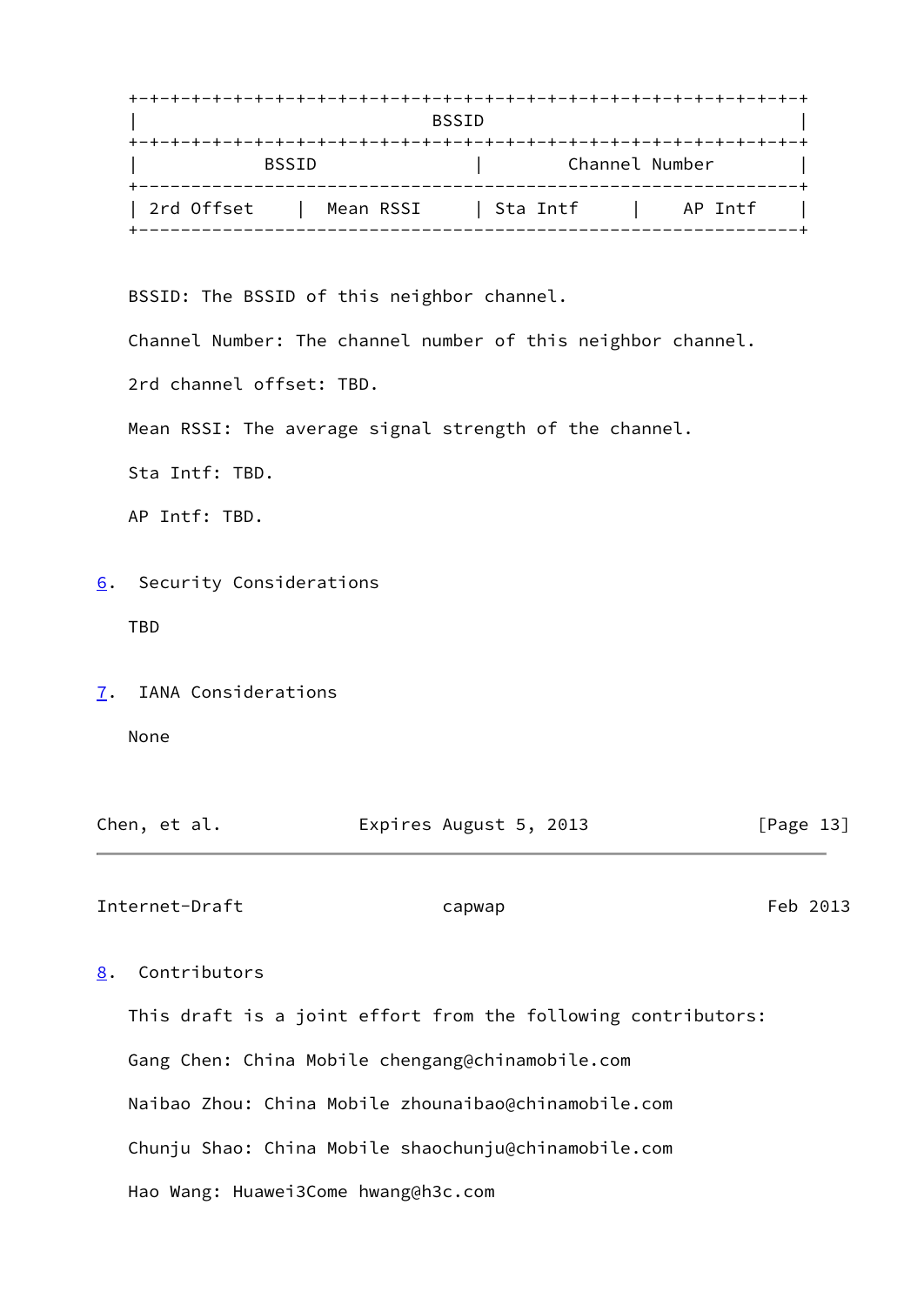|            |              | <b>BSSID</b> |                |
|------------|--------------|--------------|----------------|
|            | <b>BSSID</b> |              | Channel Number |
| 2rd Offset | Mean RSSI    | Sta Intf     | AP Intf        |

BSSID: The BSSID of this neighbor channel.

Channel Number: The channel number of this neighbor channel.

2rd channel offset: TBD.

Mean RSSI: The average signal strength of the channel.

Sta Intf: TBD.

AP Intf: TBD.

<span id="page-14-0"></span>[6](#page-14-0). Security Considerations

TBD

<span id="page-14-1"></span>[7](#page-14-1). IANA Considerations

None

| Chen, et al. | Expires August 5, 2013 | [Page 13] |
|--------------|------------------------|-----------|
|              |                        |           |

<span id="page-14-3"></span>Internet-Draft capwap capwap Feb 2013

# <span id="page-14-2"></span>[8](#page-14-2). Contributors

 This draft is a joint effort from the following contributors: Gang Chen: China Mobile chengang@chinamobile.com Naibao Zhou: China Mobile zhounaibao@chinamobile.com Chunju Shao: China Mobile shaochunju@chinamobile.com Hao Wang: Huawei3Come hwang@h3c.com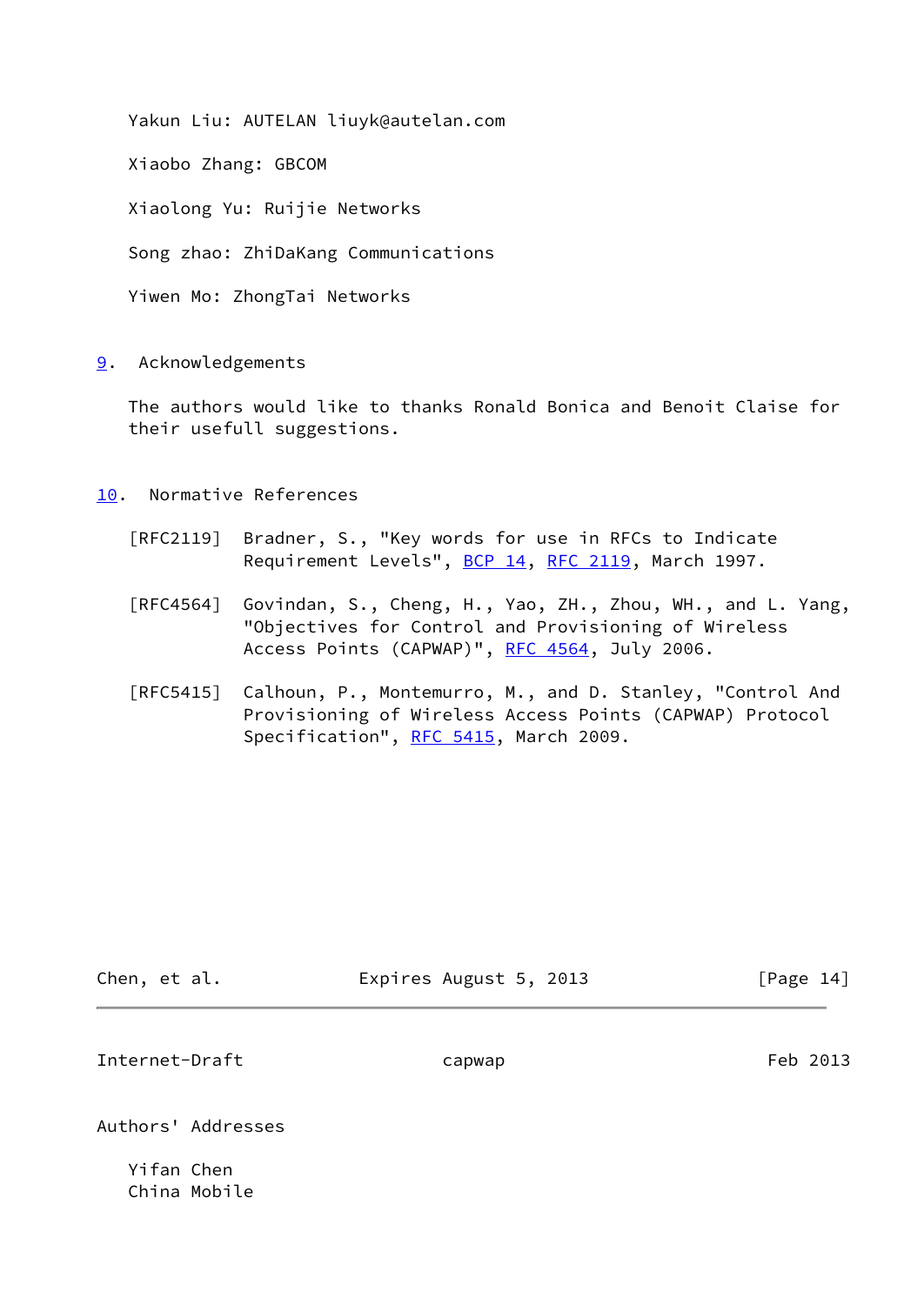Yakun Liu: AUTELAN liuyk@autelan.com

Xiaobo Zhang: GBCOM

Xiaolong Yu: Ruijie Networks

Song zhao: ZhiDaKang Communications

Yiwen Mo: ZhongTai Networks

<span id="page-15-0"></span>[9](#page-15-0). Acknowledgements

 The authors would like to thanks Ronald Bonica and Benoit Claise for their usefull suggestions.

<span id="page-15-1"></span>[10.](#page-15-1) Normative References

- [RFC2119] Bradner, S., "Key words for use in RFCs to Indicate Requirement Levels", [BCP 14](https://datatracker.ietf.org/doc/pdf/bcp14), [RFC 2119](https://datatracker.ietf.org/doc/pdf/rfc2119), March 1997.
- [RFC4564] Govindan, S., Cheng, H., Yao, ZH., Zhou, WH., and L. Yang, "Objectives for Control and Provisioning of Wireless Access Points (CAPWAP)", [RFC 4564,](https://datatracker.ietf.org/doc/pdf/rfc4564) July 2006.
- [RFC5415] Calhoun, P., Montemurro, M., and D. Stanley, "Control And Provisioning of Wireless Access Points (CAPWAP) Protocol Specification", [RFC 5415,](https://datatracker.ietf.org/doc/pdf/rfc5415) March 2009.

| Chen, et al. | Expires August 5, 2013 | [Page 14] |
|--------------|------------------------|-----------|
|              |                        |           |

Internet-Draft capwap capwap Feb 2013

Authors' Addresses

 Yifan Chen China Mobile